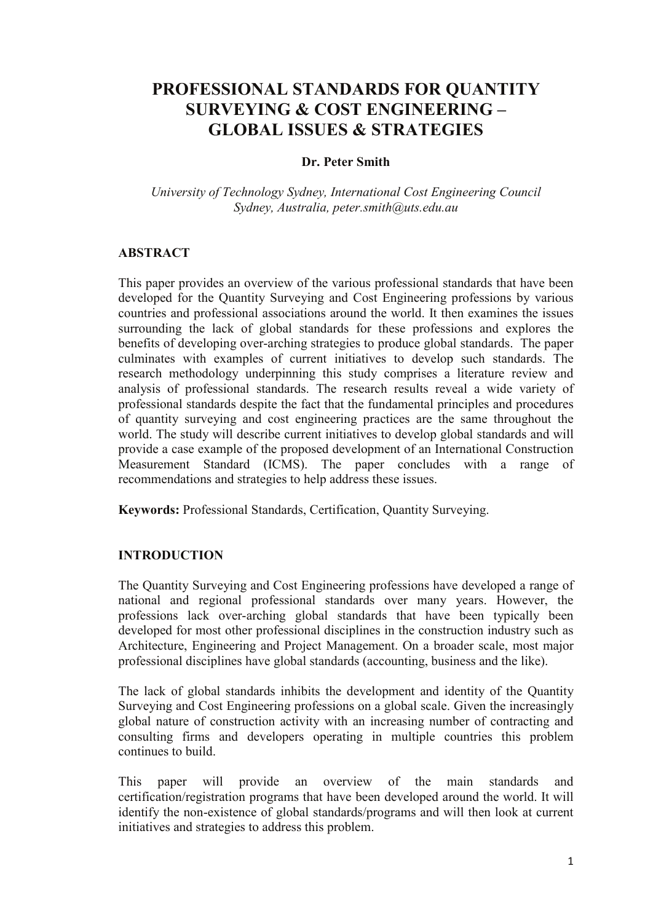# **PROFESSIONAL STANDARDS FOR QUANTITY SURVEYING & COST ENGINEERING – GLOBAL ISSUES & STRATEGIES**

## **Dr. Peter Smith**

*University of Technology Sydney, International Cost Engineering Council Sydney, Australia, peter.smith@uts.edu.au*

## **ABSTRACT**

This paper provides an overview of the various professional standards that have been developed for the Quantity Surveying and Cost Engineering professions by various countries and professional associations around the world. It then examines the issues surrounding the lack of global standards for these professions and explores the benefits of developing over-arching strategies to produce global standards. The paper culminates with examples of current initiatives to develop such standards. The research methodology underpinning this study comprises a literature review and analysis of professional standards. The research results reveal a wide variety of professional standards despite the fact that the fundamental principles and procedures of quantity surveying and cost engineering practices are the same throughout the world. The study will describe current initiatives to develop global standards and will provide a case example of the proposed development of an International Construction Measurement Standard (ICMS). The paper concludes with a range of recommendations and strategies to help address these issues.

**Keywords:** Professional Standards, Certification, Quantity Surveying.

#### **INTRODUCTION**

The Quantity Surveying and Cost Engineering professions have developed a range of national and regional professional standards over many years. However, the professions lack over-arching global standards that have been typically been developed for most other professional disciplines in the construction industry such as Architecture, Engineering and Project Management. On a broader scale, most major professional disciplines have global standards (accounting, business and the like).

The lack of global standards inhibits the development and identity of the Quantity Surveying and Cost Engineering professions on a global scale. Given the increasingly global nature of construction activity with an increasing number of contracting and consulting firms and developers operating in multiple countries this problem continues to build.

This paper will provide an overview of the main standards and certification/registration programs that have been developed around the world. It will identify the non-existence of global standards/programs and will then look at current initiatives and strategies to address this problem.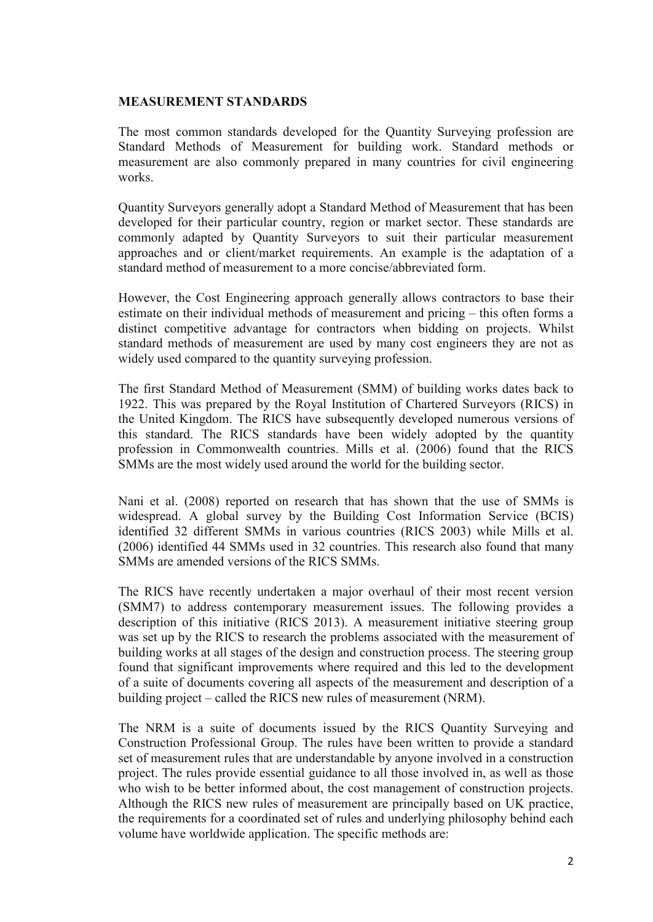#### **MEASUREMENT STANDARDS**

The most common standards developed for the Quantity Surveying profession are Standard Methods of Measurement for building work. Standard methods or measurement are also commonly prepared in many countries for civil engineering works.

Quantity Surveyors generally adopt a Standard Method of Measurement that has been developed for their particular country, region or market sector. These standards are commonly adapted by Quantity Surveyors to suit their particular measurement approaches and or client/market requirements. An example is the adaptation of a standard method of measurement to a more concise/abbreviated form.

However, the Cost Engineering approach generally allows contractors to base their estimate on their individual methods of measurement and pricing – this often forms a distinct competitive advantage for contractors when bidding on projects. Whilst standard methods of measurement are used by many cost engineers they are not as widely used compared to the quantity surveying profession.

The first Standard Method of Measurement (SMM) of building works dates back to 1922. This was prepared by the Royal Institution of Chartered Surveyors (RICS) in the United Kingdom. The RICS have subsequently developed numerous versions of this standard. The RICS standards have been widely adopted by the quantity profession in Commonwealth countries. Mills et al. (2006) found that the RICS SMMs are the most widely used around the world for the building sector.

Nani et al. (2008) reported on research that has shown that the use of SMMs is widespread. A global survey by the Building Cost Information Service (BCIS) identified 32 different SMMs in various countries (RICS 2003) while Mills et al. (2006) identified 44 SMMs used in 32 countries. This research also found that many SMMs are amended versions of the RICS SMMs.

The RICS have recently undertaken a major overhaul of their most recent version (SMM7) to address contemporary measurement issues. The following provides a description of this initiative (RICS 2013). A measurement initiative steering group was set up by the RICS to research the problems associated with the measurement of building works at all stages of the design and construction process. The steering group found that significant improvements where required and this led to the development of a suite of documents covering all aspects of the measurement and description of a building project – called the RICS new rules of measurement (NRM).

The NRM is a suite of documents issued by the RICS Quantity Surveying and Construction Professional Group. The rules have been written to provide a standard set of measurement rules that are understandable by anyone involved in a construction project. The rules provide essential guidance to all those involved in, as well as those who wish to be better informed about, the cost management of construction projects. Although the RICS new rules of measurement are principally based on UK practice, the requirements for a coordinated set of rules and underlying philosophy behind each volume have worldwide application. The specific methods are: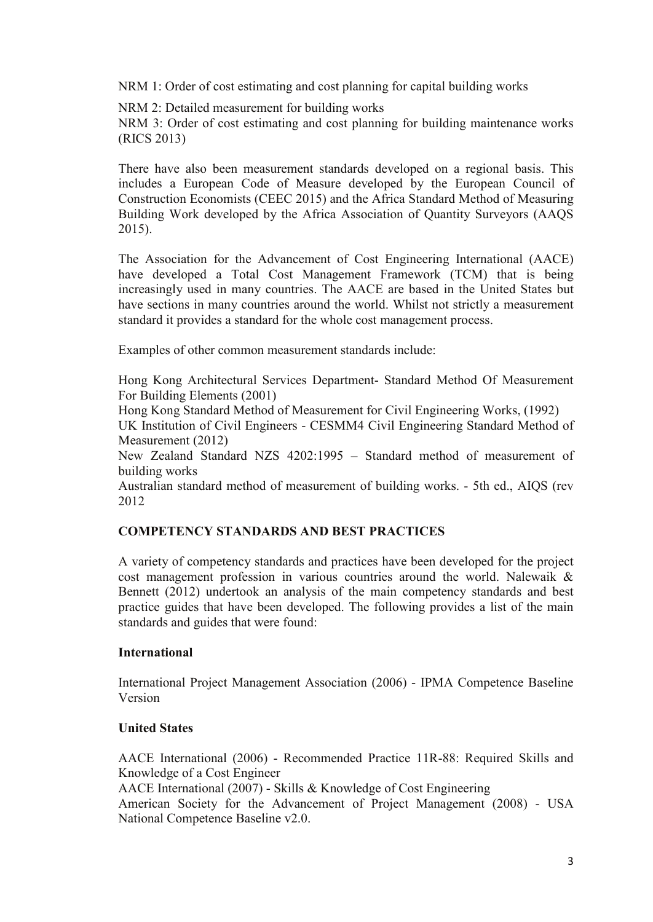NRM 1: Order of cost estimating and cost planning for capital building works

NRM 2: Detailed measurement for building works

NRM 3: Order of cost estimating and cost planning for building maintenance works (RICS 2013)

There have also been measurement standards developed on a regional basis. This includes a European Code of Measure developed by the European Council of Construction Economists (CEEC 2015) and the Africa Standard Method of Measuring Building Work developed by the Africa Association of Quantity Surveyors (AAQS 2015).

The Association for the Advancement of Cost Engineering International (AACE) have developed a Total Cost Management Framework (TCM) that is being increasingly used in many countries. The AACE are based in the United States but have sections in many countries around the world. Whilst not strictly a measurement standard it provides a standard for the whole cost management process.

Examples of other common measurement standards include:

Hong Kong Architectural Services Department- Standard Method Of Measurement For Building Elements (2001)

Hong Kong Standard Method of Measurement for Civil Engineering Works, (1992)

UK Institution of Civil Engineers - CESMM4 Civil Engineering Standard Method of Measurement (2012)

New Zealand Standard NZS 4202:1995 – Standard method of measurement of building works

Australian standard method of measurement of building works. - 5th ed., AIQS (rev 2012

## **COMPETENCY STANDARDS AND BEST PRACTICES**

A variety of competency standards and practices have been developed for the project cost management profession in various countries around the world. Nalewaik & Bennett (2012) undertook an analysis of the main competency standards and best practice guides that have been developed. The following provides a list of the main standards and guides that were found:

## **International**

International Project Management Association (2006) - IPMA Competence Baseline Version

## **United States**

AACE International (2006) - Recommended Practice 11R-88: Required Skills and Knowledge of a Cost Engineer

AACE International (2007) - Skills & Knowledge of Cost Engineering

American Society for the Advancement of Project Management (2008) - USA National Competence Baseline v2.0.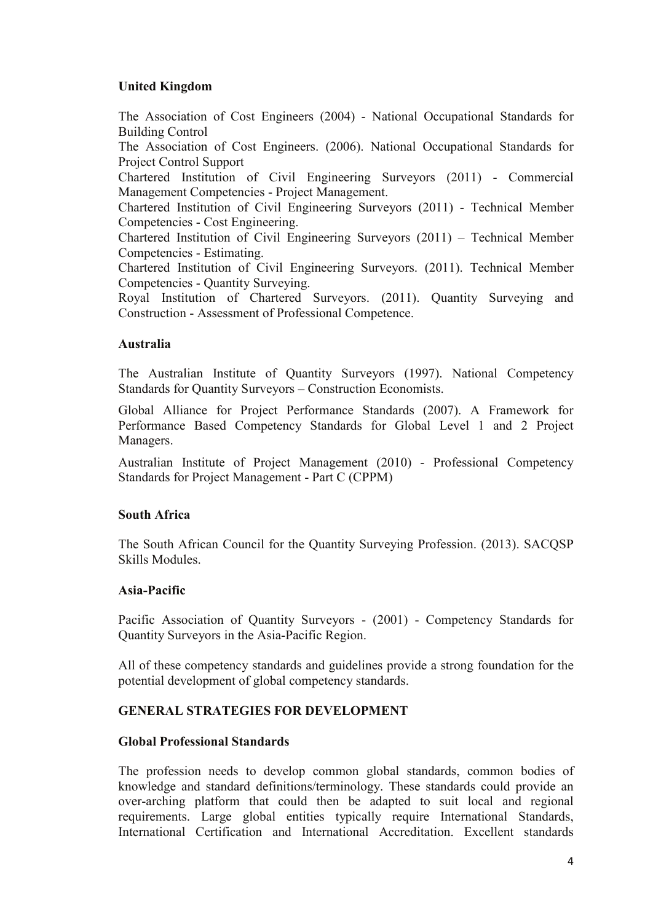## **United Kingdom**

The Association of Cost Engineers (2004) - National Occupational Standards for Building Control The Association of Cost Engineers. (2006). National Occupational Standards for Project Control Support Chartered Institution of Civil Engineering Surveyors (2011) - Commercial Management Competencies - Project Management. Chartered Institution of Civil Engineering Surveyors (2011) - Technical Member Competencies - Cost Engineering. Chartered Institution of Civil Engineering Surveyors (2011) – Technical Member Competencies - Estimating. Chartered Institution of Civil Engineering Surveyors. (2011). Technical Member Competencies - Quantity Surveying. Royal Institution of Chartered Surveyors. (2011). Quantity Surveying and Construction - Assessment of Professional Competence.

## **Australia**

The Australian Institute of Quantity Surveyors (1997). National Competency Standards for Quantity Surveyors – Construction Economists.

Global Alliance for Project Performance Standards (2007). A Framework for Performance Based Competency Standards for Global Level 1 and 2 Project Managers.

Australian Institute of Project Management (2010) - Professional Competency Standards for Project Management - Part C (CPPM)

#### **South Africa**

The South African Council for the Quantity Surveying Profession. (2013). SACQSP Skills Modules.

#### **Asia-Pacific**

Pacific Association of Quantity Surveyors - (2001) - Competency Standards for Quantity Surveyors in the Asia-Pacific Region.

All of these competency standards and guidelines provide a strong foundation for the potential development of global competency standards.

## **GENERAL STRATEGIES FOR DEVELOPMENT**

#### **Global Professional Standards**

The profession needs to develop common global standards, common bodies of knowledge and standard definitions/terminology. These standards could provide an over-arching platform that could then be adapted to suit local and regional requirements. Large global entities typically require International Standards, International Certification and International Accreditation. Excellent standards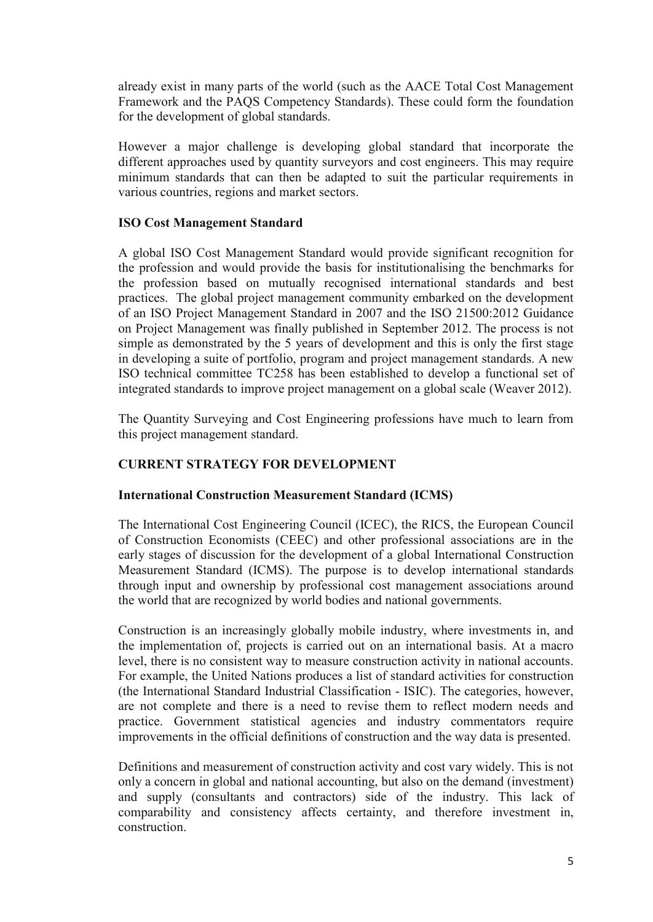already exist in many parts of the world (such as the AACE Total Cost Management Framework and the PAQS Competency Standards). These could form the foundation for the development of global standards.

However a major challenge is developing global standard that incorporate the different approaches used by quantity surveyors and cost engineers. This may require minimum standards that can then be adapted to suit the particular requirements in various countries, regions and market sectors.

## **ISO Cost Management Standard**

A global ISO Cost Management Standard would provide significant recognition for the profession and would provide the basis for institutionalising the benchmarks for the profession based on mutually recognised international standards and best practices. The global project management community embarked on the development of an ISO Project Management Standard in 2007 and the ISO 21500:2012 Guidance on Project Management was finally published in September 2012. The process is not simple as demonstrated by the 5 years of development and this is only the first stage in developing a suite of portfolio, program and project management standards. A new ISO technical committee TC258 has been established to develop a functional set of integrated standards to improve project management on a global scale (Weaver 2012).

The Quantity Surveying and Cost Engineering professions have much to learn from this project management standard.

## **CURRENT STRATEGY FOR DEVELOPMENT**

#### **International Construction Measurement Standard (ICMS)**

The International Cost Engineering Council (ICEC), the RICS, the European Council of Construction Economists (CEEC) and other professional associations are in the early stages of discussion for the development of a global International Construction Measurement Standard (ICMS). The purpose is to develop international standards through input and ownership by professional cost management associations around the world that are recognized by world bodies and national governments.

Construction is an increasingly globally mobile industry, where investments in, and the implementation of, projects is carried out on an international basis. At a macro level, there is no consistent way to measure construction activity in national accounts. For example, the United Nations produces a list of standard activities for construction (the International Standard Industrial Classification - ISIC). The categories, however, are not complete and there is a need to revise them to reflect modern needs and practice. Government statistical agencies and industry commentators require improvements in the official definitions of construction and the way data is presented.

Definitions and measurement of construction activity and cost vary widely. This is not only a concern in global and national accounting, but also on the demand (investment) and supply (consultants and contractors) side of the industry. This lack of comparability and consistency affects certainty, and therefore investment in, construction.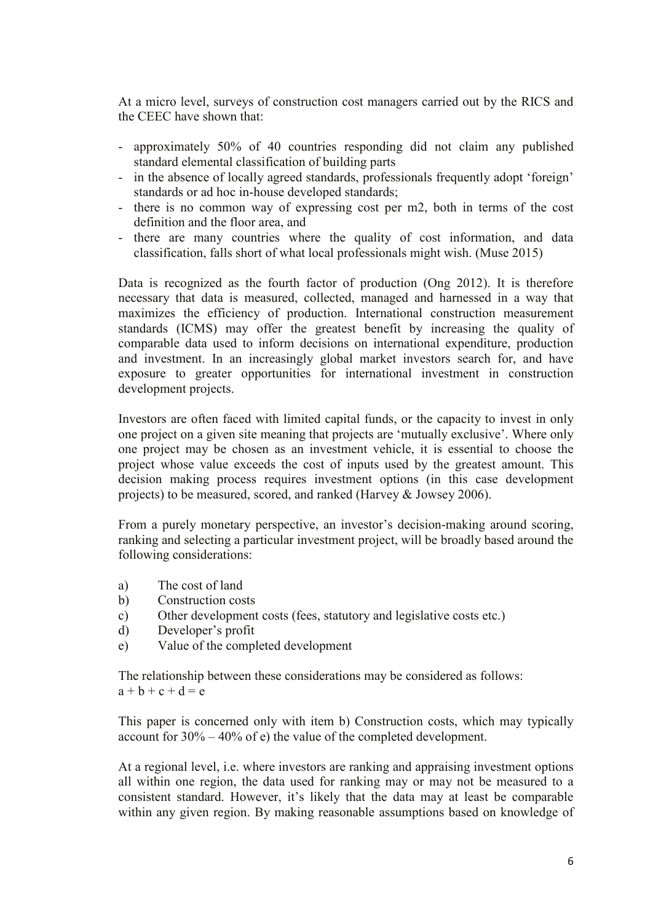At a micro level, surveys of construction cost managers carried out by the RICS and the CEEC have shown that:

- approximately 50% of 40 countries responding did not claim any published standard elemental classification of building parts
- in the absence of locally agreed standards, professionals frequently adopt 'foreign' standards or ad hoc in-house developed standards;
- there is no common way of expressing cost per m2, both in terms of the cost definition and the floor area, and
- there are many countries where the quality of cost information, and data classification, falls short of what local professionals might wish. (Muse 2015)

Data is recognized as the fourth factor of production (Ong 2012). It is therefore necessary that data is measured, collected, managed and harnessed in a way that maximizes the efficiency of production. International construction measurement standards (ICMS) may offer the greatest benefit by increasing the quality of comparable data used to inform decisions on international expenditure, production and investment. In an increasingly global market investors search for, and have exposure to greater opportunities for international investment in construction development projects.

Investors are often faced with limited capital funds, or the capacity to invest in only one project on a given site meaning that projects are 'mutually exclusive'. Where only one project may be chosen as an investment vehicle, it is essential to choose the project whose value exceeds the cost of inputs used by the greatest amount. This decision making process requires investment options (in this case development projects) to be measured, scored, and ranked (Harvey & Jowsey 2006).

From a purely monetary perspective, an investor's decision-making around scoring, ranking and selecting a particular investment project, will be broadly based around the following considerations:

- a) The cost of land
- b) Construction costs
- c) Other development costs (fees, statutory and legislative costs etc.)
- d) Developer's profit
- e) Value of the completed development

The relationship between these considerations may be considered as follows:  $a + b + c + d = e$ 

This paper is concerned only with item b) Construction costs, which may typically account for 30% – 40% of e) the value of the completed development.

At a regional level, i.e. where investors are ranking and appraising investment options all within one region, the data used for ranking may or may not be measured to a consistent standard. However, it's likely that the data may at least be comparable within any given region. By making reasonable assumptions based on knowledge of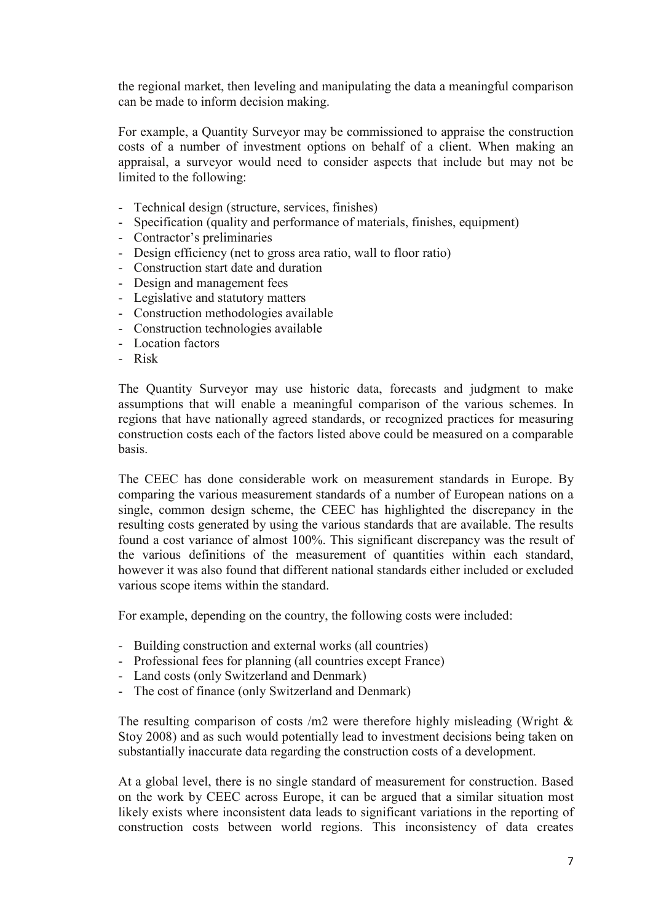the regional market, then leveling and manipulating the data a meaningful comparison can be made to inform decision making.

For example, a Quantity Surveyor may be commissioned to appraise the construction costs of a number of investment options on behalf of a client. When making an appraisal, a surveyor would need to consider aspects that include but may not be limited to the following:

- Technical design (structure, services, finishes)
- Specification (quality and performance of materials, finishes, equipment)
- Contractor's preliminaries
- Design efficiency (net to gross area ratio, wall to floor ratio)
- Construction start date and duration
- Design and management fees
- Legislative and statutory matters
- Construction methodologies available
- Construction technologies available
- Location factors
- Risk

The Quantity Surveyor may use historic data, forecasts and judgment to make assumptions that will enable a meaningful comparison of the various schemes. In regions that have nationally agreed standards, or recognized practices for measuring construction costs each of the factors listed above could be measured on a comparable basis.

The CEEC has done considerable work on measurement standards in Europe. By comparing the various measurement standards of a number of European nations on a single, common design scheme, the CEEC has highlighted the discrepancy in the resulting costs generated by using the various standards that are available. The results found a cost variance of almost 100%. This significant discrepancy was the result of the various definitions of the measurement of quantities within each standard, however it was also found that different national standards either included or excluded various scope items within the standard.

For example, depending on the country, the following costs were included:

- Building construction and external works (all countries)
- Professional fees for planning (all countries except France)
- Land costs (only Switzerland and Denmark)
- The cost of finance (only Switzerland and Denmark)

The resulting comparison of costs  $/m2$  were therefore highly misleading (Wright  $\&$ Stoy 2008) and as such would potentially lead to investment decisions being taken on substantially inaccurate data regarding the construction costs of a development.

At a global level, there is no single standard of measurement for construction. Based on the work by CEEC across Europe, it can be argued that a similar situation most likely exists where inconsistent data leads to significant variations in the reporting of construction costs between world regions. This inconsistency of data creates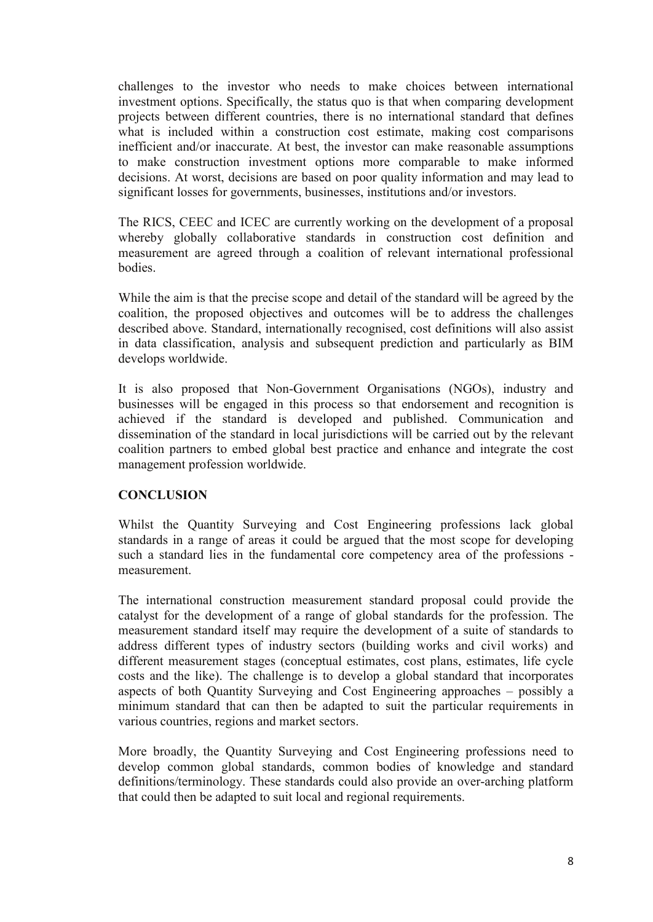challenges to the investor who needs to make choices between international investment options. Specifically, the status quo is that when comparing development projects between different countries, there is no international standard that defines what is included within a construction cost estimate, making cost comparisons inefficient and/or inaccurate. At best, the investor can make reasonable assumptions to make construction investment options more comparable to make informed decisions. At worst, decisions are based on poor quality information and may lead to significant losses for governments, businesses, institutions and/or investors.

The RICS, CEEC and ICEC are currently working on the development of a proposal whereby globally collaborative standards in construction cost definition and measurement are agreed through a coalition of relevant international professional bodies.

While the aim is that the precise scope and detail of the standard will be agreed by the coalition, the proposed objectives and outcomes will be to address the challenges described above. Standard, internationally recognised, cost definitions will also assist in data classification, analysis and subsequent prediction and particularly as BIM develops worldwide.

It is also proposed that Non-Government Organisations (NGOs), industry and businesses will be engaged in this process so that endorsement and recognition is achieved if the standard is developed and published. Communication and dissemination of the standard in local jurisdictions will be carried out by the relevant coalition partners to embed global best practice and enhance and integrate the cost management profession worldwide.

## **CONCLUSION**

Whilst the Quantity Surveying and Cost Engineering professions lack global standards in a range of areas it could be argued that the most scope for developing such a standard lies in the fundamental core competency area of the professions measurement.

The international construction measurement standard proposal could provide the catalyst for the development of a range of global standards for the profession. The measurement standard itself may require the development of a suite of standards to address different types of industry sectors (building works and civil works) and different measurement stages (conceptual estimates, cost plans, estimates, life cycle costs and the like). The challenge is to develop a global standard that incorporates aspects of both Quantity Surveying and Cost Engineering approaches – possibly a minimum standard that can then be adapted to suit the particular requirements in various countries, regions and market sectors.

More broadly, the Quantity Surveying and Cost Engineering professions need to develop common global standards, common bodies of knowledge and standard definitions/terminology. These standards could also provide an over-arching platform that could then be adapted to suit local and regional requirements.